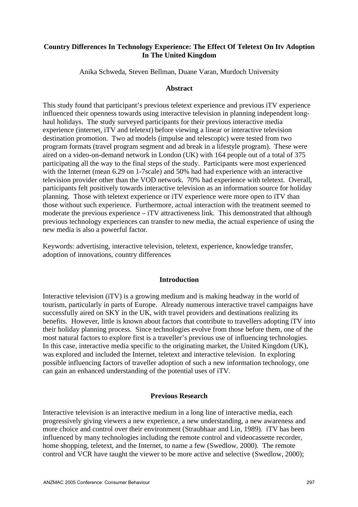# **Country Differences In Technology Experience: The Effect Of Teletext On Itv Adoption In The United Kingdom**

Anika Schweda, Steven Bellman, Duane Varan, Murdoch University

### **Abstract**

This study found that participant's previous teletext experience and previous iTV experience influenced their openness towards using interactive television in planning independent longhaul holidays. The study surveyed participants for their previous interactive media experience (internet, iTV and teletext) before viewing a linear or interactive television destination promotion. Two ad models (impulse and telescopic) were tested from two program formats (travel program segment and ad break in a lifestyle program). These were aired on a video-on-demand network in London (UK) with 164 people out of a total of 375 participating all the way to the final steps of the study. Participants were most experienced with the Internet (mean 6.29 on 1-7scale) and 50% had had experience with an interactive television provider other than the VOD network. 70% had experience with teletext. Overall, participants felt positively towards interactive television as an information source for holiday planning. Those with teletext experience or iTV experience were more open to iTV than those without such experience. Furthermore, actual interaction with the treatment seemed to moderate the previous experience – iTV attractiveness link. This demonstrated that although previous technology experiences can transfer to new media, the actual experience of using the new media is also a powerful factor.

Keywords: advertising, interactive television, teletext, experience, knowledge transfer, adoption of innovations, country differences

### **Introduction**

Interactive television (iTV) is a growing medium and is making headway in the world of tourism, particularly in parts of Europe. Already numerous interactive travel campaigns have successfully aired on SKY in the UK, with travel providers and destinations realizing its benefits. However, little is known about factors that contribute to travellers adopting iTV into their holiday planning process. Since technologies evolve from those before them, one of the most natural factors to explore first is a traveller's previous use of influencing technologies. In this case, interactive media specific to the originating market, the United Kingdom (UK), was explored and included the Internet, teletext and interactive television. In exploring possible influencing factors of traveller adoption of such a new information technology, one can gain an enhanced understanding of the potential uses of iTV.

# **Previous Research**

Interactive television is an interactive medium in a long line of interactive media, each progressively giving viewers a new experience, a new understanding, a new awareness and more choice and control over their environment (Straubhaar and Lin, 1989). iTV has been influenced by many technologies including the remote control and videocassette recorder, home shopping, teletext, and the Internet, to name a few (Swedlow, 2000). The remote control and VCR have taught the viewer to be more active and selective (Swedlow, 2000);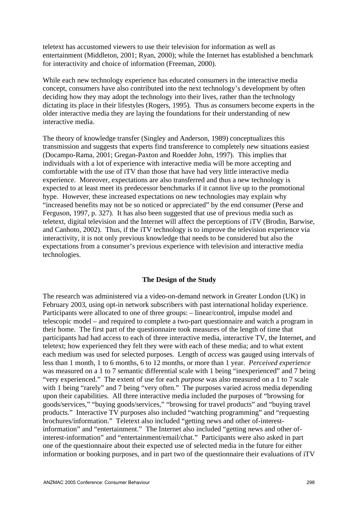teletext has accustomed viewers to use their television for information as well as entertainment (Middleton, 2001; Ryan, 2000); while the Internet has established a benchmark for interactivity and choice of information (Freeman, 2000).

While each new technology experience has educated consumers in the interactive media concept, consumers have also contributed into the next technology's development by often deciding how they may adopt the technology into their lives, rather than the technology dictating its place in their lifestyles (Rogers, 1995). Thus as consumers become experts in the older interactive media they are laying the foundations for their understanding of new interactive media.

The theory of knowledge transfer (Singley and Anderson, 1989) conceptualizes this transmission and suggests that experts find transference to completely new situations easiest (Docampo-Rama, 2001; Gregan-Paxton and Roedder John, 1997). This implies that individuals with a lot of experience with interactive media will be more accepting and comfortable with the use of iTV than those that have had very little interactive media experience. Moreover, expectations are also transferred and thus a new technology is expected to at least meet its predecessor benchmarks if it cannot live up to the promotional hype. However, these increased expectations on new technologies may explain why "increased benefits may not be so noticed or appreciated" by the end consumer (Perse and Ferguson, 1997, p. 327). It has also been suggested that use of previous media such as teletext, digital television and the Internet will affect the perceptions of iTV (Brodin, Barwise, and Canhoto, 2002). Thus, if the iTV technology is to improve the television experience via interactivity, it is not only previous knowledge that needs to be considered but also the expectations from a consumer's previous experience with television and interactive media technologies.

# **The Design of the Study**

The research was administered via a video-on-demand network in Greater London (UK) in February 2003, using opt-in network subscribers with past international holiday experience. Participants were allocated to one of three groups: – linear/control, impulse model and telescopic model – and required to complete a two-part questionnaire and watch a program in their home. The first part of the questionnaire took measures of the length of time that participants had had access to each of three interactive media, interactive TV, the Internet, and teletext; how experienced they felt they were with each of these media; and to what extent each medium was used for selected purposes. Length of *access* was gauged using intervals of less than 1 month, 1 to 6 months, 6 to 12 months, or more than 1 year. *Perceived experience* was measured on a 1 to 7 semantic differential scale with 1 being "inexperienced" and 7 being "very experienced." The extent of use for each *purpose* was also measured on a 1 to 7 scale with 1 being "rarely" and 7 being "very often." The purposes varied across media depending upon their capabilities. All three interactive media included the purposes of "browsing for goods/services," "buying goods/services," "browsing for travel products" and "buying travel products." Interactive TV purposes also included "watching programming" and "requesting brochures/information." Teletext also included "getting news and other of-interestinformation" and "entertainment." The Internet also included "getting news and other ofinterest-information" and "entertainment/email/chat." Participants were also asked in part one of the questionnaire about their expected use of selected media in the future for either information or booking purposes, and in part two of the questionnaire their evaluations of iTV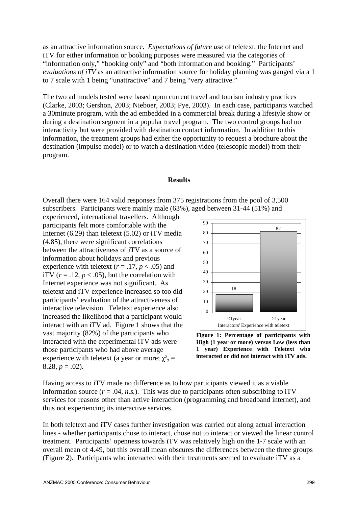as an attractive information source. *Expectations of future use* of teletext, the Internet and iTV for either information or booking purposes were measured via the categories of "information only," "booking only" and "both information and booking." Participants' *evaluations of iTV* as an attractive information source for holiday planning was gauged via a 1 to 7 scale with 1 being "unattractive" and 7 being "very attractive."

The two ad models tested were based upon current travel and tourism industry practices (Clarke, 2003; Gershon, 2003; Nieboer, 2003; Pye, 2003). In each case, participants watched a 30minute program, with the ad embedded in a commercial break during a lifestyle show or during a destination segment in a popular travel program. The two control groups had no interactivity but were provided with destination contact information. In addition to this information, the treatment groups had either the opportunity to request a brochure about the destination (impulse model) or to watch a destination video (telescopic model) from their program.

#### **Results**

Overall there were 164 valid responses from 375 registrations from the pool of 3,500 subscribers. Participants were mainly male (63%), aged between 31-44 (51%) and

experienced, international travellers. Although participants felt more comfortable with the Internet (6.29) than teletext (5.02) or iTV media (4.85), there were significant correlations between the attractiveness of iTV as a source of information about holidays and previous experience with teletext ( $r = .17$ ,  $p < .05$ ) and iTV  $(r = .12, p < .05)$ , but the correlation with Internet experience was not significant. As teletext and iTV experience increased so too did participants' evaluation of the attractiveness of interactive television. Teletext experience also increased the likelihood that a participant would interact with an iTV ad. Figure 1 shows that the vast majority (82%) of the participants who interacted with the experimental iTV ads were those participants who had above average experience with teletext (a year or more;  $\chi^2$ <sub>2</sub> = 8.28,  $p = .02$ ).



**Figure 1: Percentage of participants with High (1 year or more) versus Low (less than 1 year) Experience with Teletext who interacted or did not interact with iTV ads.** 

Having access to iTV made no difference as to how participants viewed it as a viable information source  $(r = .04, n.s.)$ . This was due to participants often subscribing to iTV services for reasons other than active interaction (programming and broadband internet), and thus not experiencing its interactive services.

In both teletext and iTV cases further investigation was carried out along actual interaction lines - whether participants chose to interact, chose not to interact or viewed the linear control treatment. Participants' openness towards iTV was relatively high on the 1-7 scale with an overall mean of 4.49, but this overall mean obscures the differences between the three groups (Figure 2). Participants who interacted with their treatments seemed to evaluate iTV as a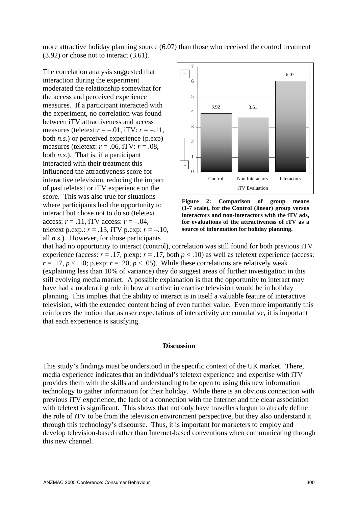more attractive holiday planning source (6.07) than those who received the control treatment (3.92) or chose not to interact (3.61).

The correlation analysis suggested that interaction during the experiment moderated the relationship somewhat for the access and perceived experience measures. If a participant interacted with the experiment, no correlation was found between iTV attractiveness and access measures (teletext: $r = -.01$ , iTV:  $r = -.11$ , both *n.s.*) or perceived experience (p.exp) measures (teletext: *r* = .06, iTV: *r* = .08, both *n.s.*). That is, if a participant interacted with their treatment this influenced the attractiveness score for interactive television, reducing the impact of past teletext or iTV experience on the score. This was also true for situations where participants had the opportunity to interact but chose not to do so (teletext access:  $r = .11$ , iTV access:  $r = -.04$ , teletext p.exp.:  $r = .13$ , iTV p.exp:  $r = -.10$ , all *n.s.*). However, for those participants



**Figure 2: Comparison of group means (1-7 scale), for the Control (linear) group versus interactors and non-interactors with the iTV ads, for evaluations of the attractiveness of iTV as a source of information for holiday planning.** 

that had no opportunity to interact (control), correlation was still found for both previous iTV experience (access:  $r = .17$ , p.exp:  $r = .17$ , both  $p < .10$ ) as well as teletext experience (access:  $r = .17$ ,  $p < .10$ ; p.exp:  $r = .20$ ,  $p < .05$ ). While these correlations are relatively weak (explaining less than 10% of variance) they do suggest areas of further investigation in this still evolving media market. A possible explanation is that the opportunity to interact may have had a moderating role in how attractive interactive television would be in holiday planning. This implies that the ability to interact is in itself a valuable feature of interactive television, with the extended content being of even further value. Even more importantly this reinforces the notion that as user expectations of interactivity are cumulative, it is important that each experience is satisfying.

#### **Discussion**

This study's findings must be understood in the specific context of the UK market. There, media experience indicates that an individual's teletext experience and expertise with iTV provides them with the skills and understanding to be open to using this new information technology to gather information for their holiday. While there is an obvious connection with previous iTV experience, the lack of a connection with the Internet and the clear association with teletext is significant. This shows that not only have travellers begun to already define the role of iTV to be from the television environment perspective, but they also understand it through this technology's discourse. Thus, it is important for marketers to employ and develop television-based rather than Internet-based conventions when communicating through this new channel.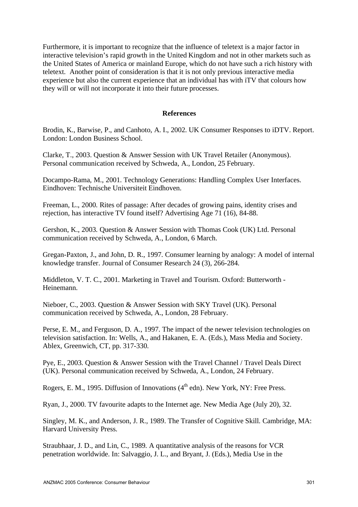Furthermore, it is important to recognize that the influence of teletext is a major factor in interactive television's rapid growth in the United Kingdom and not in other markets such as the United States of America or mainland Europe, which do not have such a rich history with teletext. Another point of consideration is that it is not only previous interactive media experience but also the current experience that an individual has with iTV that colours how they will or will not incorporate it into their future processes.

# **References**

Brodin, K., Barwise, P., and Canhoto, A. I., 2002. UK Consumer Responses to iDTV. Report. London: London Business School.

Clarke, T., 2003. Question & Answer Session with UK Travel Retailer (Anonymous). Personal communication received by Schweda, A., London, 25 February.

Docampo-Rama, M., 2001. Technology Generations: Handling Complex User Interfaces. Eindhoven: Technische Universiteit Eindhoven.

Freeman, L., 2000. Rites of passage: After decades of growing pains, identity crises and rejection, has interactive TV found itself? Advertising Age 71 (16), 84-88.

Gershon, K., 2003. Question & Answer Session with Thomas Cook (UK) Ltd. Personal communication received by Schweda, A., London, 6 March.

Gregan-Paxton, J., and John, D. R., 1997. Consumer learning by analogy: A model of internal knowledge transfer. Journal of Consumer Research 24 (3), 266-284.

Middleton, V. T. C., 2001. Marketing in Travel and Tourism. Oxford: Butterworth - Heinemann.

Nieboer, C., 2003. Question & Answer Session with SKY Travel (UK). Personal communication received by Schweda, A., London, 28 February.

Perse, E. M., and Ferguson, D. A., 1997. The impact of the newer television technologies on television satisfaction. In: Wells, A., and Hakanen, E. A. (Eds.), Mass Media and Society. Ablex, Greenwich, CT, pp. 317-330.

Pye, E., 2003. Question & Answer Session with the Travel Channel / Travel Deals Direct (UK). Personal communication received by Schweda, A., London, 24 February.

Rogers, E. M., 1995. Diffusion of Innovations  $(4<sup>th</sup>$ edn). New York, NY: Free Press.

Ryan, J., 2000. TV favourite adapts to the Internet age. New Media Age (July 20), 32.

Singley, M. K., and Anderson, J. R., 1989. The Transfer of Cognitive Skill. Cambridge, MA: Harvard University Press.

Straubhaar, J. D., and Lin, C., 1989. A quantitative analysis of the reasons for VCR penetration worldwide. In: Salvaggio, J. L., and Bryant, J. (Eds.), Media Use in the